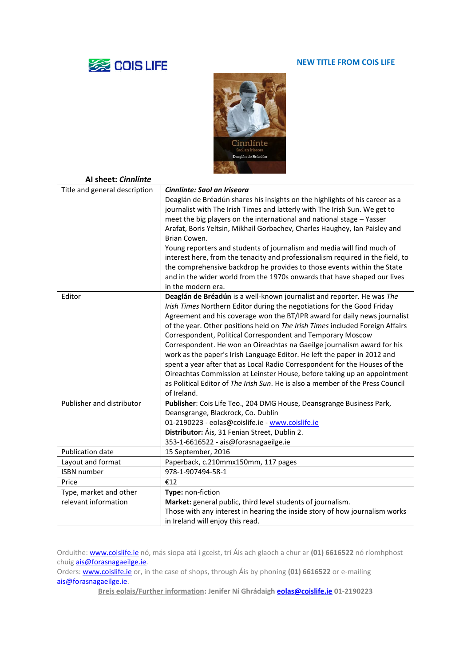## **SSE COIS LIFE**

## **NEW TITLE FROM COIS LIFE**



| Al sheet: Cinnlínte           |                                                                                                                                                                                                                                                                                                                                                                                                                                                                                                                                                                                                                                                                                                                                                                                                  |
|-------------------------------|--------------------------------------------------------------------------------------------------------------------------------------------------------------------------------------------------------------------------------------------------------------------------------------------------------------------------------------------------------------------------------------------------------------------------------------------------------------------------------------------------------------------------------------------------------------------------------------------------------------------------------------------------------------------------------------------------------------------------------------------------------------------------------------------------|
| Title and general description | Cinnlínte: Saol an Iriseora<br>Deaglán de Bréadún shares his insights on the highlights of his career as a<br>journalist with The Irish Times and latterly with The Irish Sun. We get to<br>meet the big players on the international and national stage - Yasser<br>Arafat, Boris Yeltsin, Mikhail Gorbachev, Charles Haughey, Ian Paisley and<br>Brian Cowen.<br>Young reporters and students of journalism and media will find much of<br>interest here, from the tenacity and professionalism required in the field, to<br>the comprehensive backdrop he provides to those events within the State<br>and in the wider world from the 1970s onwards that have shaped our lives<br>in the modern era.                                                                                         |
| Editor                        | Deaglán de Bréadún is a well-known journalist and reporter. He was The<br>Irish Times Northern Editor during the negotiations for the Good Friday<br>Agreement and his coverage won the BT/IPR award for daily news journalist<br>of the year. Other positions held on The Irish Times included Foreign Affairs<br>Correspondent, Political Correspondent and Temporary Moscow<br>Correspondent. He won an Oireachtas na Gaeilge journalism award for his<br>work as the paper's Irish Language Editor. He left the paper in 2012 and<br>spent a year after that as Local Radio Correspondent for the Houses of the<br>Oireachtas Commission at Leinster House, before taking up an appointment<br>as Political Editor of The Irish Sun. He is also a member of the Press Council<br>of Ireland. |
| Publisher and distributor     | Publisher: Cois Life Teo., 204 DMG House, Deansgrange Business Park,<br>Deansgrange, Blackrock, Co. Dublin<br>01-2190223 - eolas@coislife.ie - www.coislife.ie<br>Distributor: Áis, 31 Fenian Street, Dublin 2.<br>353-1-6616522 - ais@forasnagaeilge.ie                                                                                                                                                                                                                                                                                                                                                                                                                                                                                                                                         |
| <b>Publication date</b>       | 15 September, 2016                                                                                                                                                                                                                                                                                                                                                                                                                                                                                                                                                                                                                                                                                                                                                                               |
| Layout and format             | Paperback, c.210mmx150mm, 117 pages                                                                                                                                                                                                                                                                                                                                                                                                                                                                                                                                                                                                                                                                                                                                                              |
| <b>ISBN</b> number            | 978-1-907494-58-1                                                                                                                                                                                                                                                                                                                                                                                                                                                                                                                                                                                                                                                                                                                                                                                |
| Price                         | €12                                                                                                                                                                                                                                                                                                                                                                                                                                                                                                                                                                                                                                                                                                                                                                                              |
| Type, market and other        | Type: non-fiction                                                                                                                                                                                                                                                                                                                                                                                                                                                                                                                                                                                                                                                                                                                                                                                |
| relevant information          | Market: general public, third level students of journalism.                                                                                                                                                                                                                                                                                                                                                                                                                                                                                                                                                                                                                                                                                                                                      |
|                               | Those with any interest in hearing the inside story of how journalism works                                                                                                                                                                                                                                                                                                                                                                                                                                                                                                                                                                                                                                                                                                                      |
|                               | in Ireland will enjoy this read.                                                                                                                                                                                                                                                                                                                                                                                                                                                                                                                                                                                                                                                                                                                                                                 |

Orduithe[: www.coislife.ie](http://www.coislife.ie/) nó, más siopa atá i gceist, trí Áis ach glaoch a chur ar **(01) 6616522** nó ríomhphost chuig **ais@forasnagaeilge.ie**.

Orders[: www.coislife.ie](http://www.coislife.ie/) or, in the case of shops, through Áis by phoning **(01) 6616522** or e-mailing [ais@forasnagaeilge.ie.](mailto:ais@forasnagaeilge.ie)

**Breis eolais/Further information: Jenifer Ní Ghrádaigh [eolas@coislife.ie](mailto:eolas@coislife.ie) 01-2190223**